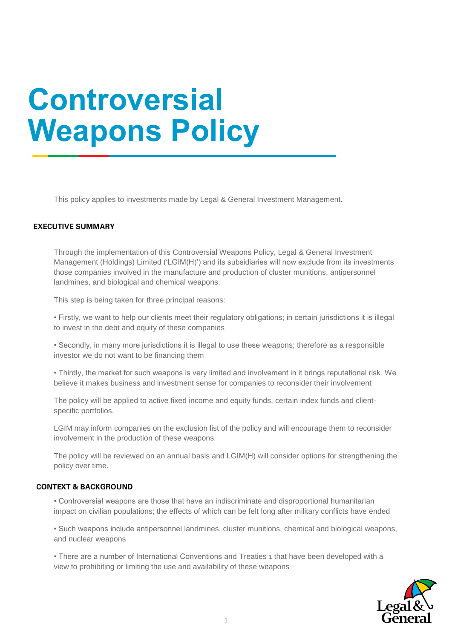## **Controversial Weapons Policy**

This policy applies to investments made by Legal & General Investment Management.

## **EXECUTIVE SUMMARY**

Through the implementation of this Controversial Weapons Policy, Legal & General Investment Management (Holdings) Limited ('LGIM(H)') and its subsidiaries will now exclude from its investments those companies involved in the manufacture and production of cluster munitions, antipersonnel landmines, and biological and chemical weapons.

This step is being taken for three principal reasons:

• Firstly, we want to help our clients meet their regulatory obligations; in certain jurisdictions it is illegal to invest in the debt and equity of these companies

• Secondly, in many more jurisdictions it is illegal to use these weapons; therefore as a responsible investor we do not want to be financing them

• Thirdly, the market for such weapons is very limited and involvement in it brings reputational risk. We believe it makes business and investment sense for companies to reconsider their involvement

The policy will be applied to active fixed income and equity funds, certain index funds and clientspecific portfolios.

LGIM may inform companies on the exclusion list of the policy and will encourage them to reconsider involvement in the production of these weapons.

The policy will be reviewed on an annual basis and LGIM(H) will consider options for strengthening the policy over time.

## **CONTEXT & BACKGROUND**

• Controversial weapons are those that have an indiscriminate and disproportional humanitarian impact on civilian populations; the effects of which can be felt long after military conflicts have ended

• Such weapons include antipersonnel landmines, cluster munitions, chemical and biological weapons, and nuclear weapons

• There are a number of International Conventions and Treaties 1 that have been developed with a view to prohibiting or limiting the use and availability of these weapons